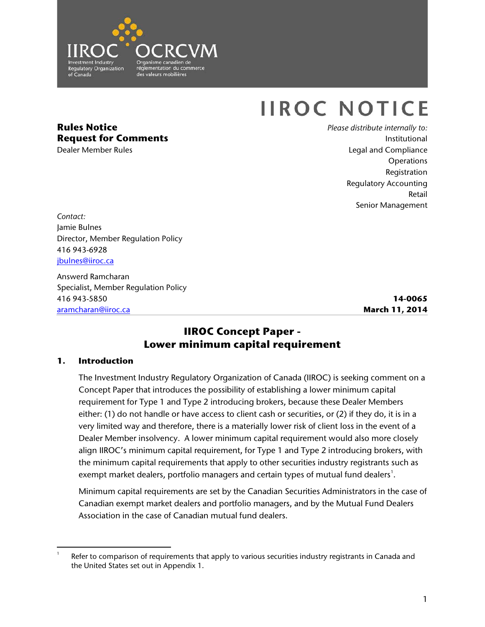

# **IIROC NOTICE**

# **Rules Notice Request for Comments**

Dealer Member Rules

*Please distribute internally to:* Institutional Legal and Compliance **Operations** Registration Regulatory Accounting Retail Senior Management

*Contact:* Jamie Bulnes Director, Member Regulation Policy 416 943-6928 [jbulnes@iiroc.ca](mailto:jbulnes@iiroc.ca)

Answerd Ramcharan Specialist, Member Regulation Policy 416 943-5850 [aramcharan@iiroc.ca](mailto:aramcharan@iiroc.ca)

**14-0065 March 11, 2014**

## **IIROC Concept Paper - Lower minimum capital requirement**

## **1. Introduction**

The Investment Industry Regulatory Organization of Canada (IIROC) is seeking comment on a Concept Paper that introduces the possibility of establishing a lower minimum capital requirement for Type 1 and Type 2 introducing brokers, because these Dealer Members either: (1) do not handle or have access to client cash or securities, or (2) if they do, it is in a very limited way and therefore, there is a materially lower risk of client loss in the event of a Dealer Member insolvency. A lower minimum capital requirement would also more closely align IIROC's minimum capital requirement, for Type 1 and Type 2 introducing brokers, with the minimum capital requirements that apply to other securities industry registrants such as exempt market dealers, portfolio managers and certain types of mutual fund dealers $^{\text{!}}$ .

Minimum capital requirements are set by the Canadian Securities Administrators in the case of Canadian exempt market dealers and portfolio managers, and by the Mutual Fund Dealers Association in the case of Canadian mutual fund dealers.

<span id="page-0-0"></span> $\overline{a}$ 1 Refer to comparison of requirements that apply to various securities industry registrants in Canada and the United States set out in Appendix 1.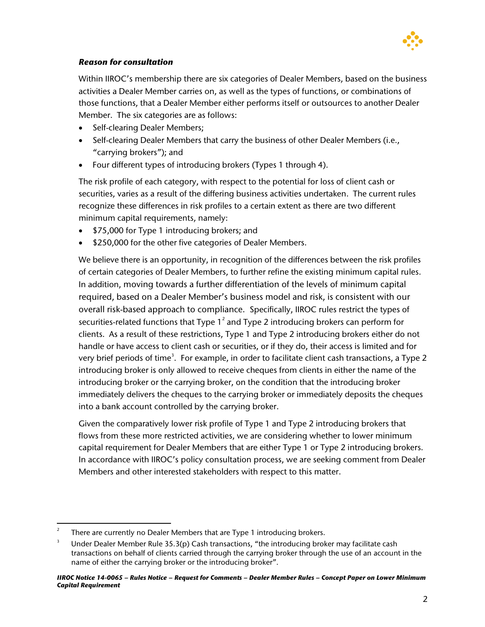

## *Reason for consultation*

Within IIROC's membership there are six categories of Dealer Members, based on the business activities a Dealer Member carries on, as well as the types of functions, or combinations of those functions, that a Dealer Member either performs itself or outsources to another Dealer Member. The six categories are as follows:

- Self-clearing Dealer Members;
- Self-clearing Dealer Members that carry the business of other Dealer Members (i.e., "carrying brokers"); and
- Four different types of introducing brokers (Types 1 through 4).

The risk profile of each category, with respect to the potential for loss of client cash or securities, varies as a result of the differing business activities undertaken. The current rules recognize these differences in risk profiles to a certain extent as there are two different minimum capital requirements, namely:

- \$75,000 for Type 1 introducing brokers; and
- \$250,000 for the other five categories of Dealer Members.

We believe there is an opportunity, in recognition of the differences between the risk profiles of certain categories of Dealer Members, to further refine the existing minimum capital rules. In addition, moving towards a further differentiation of the levels of minimum capital required, based on a Dealer Member's business model and risk, is consistent with our overall risk-based approach to compliance. Specifically, IIROC rules restrict the types of securities-related functions that Type  $1^2$  $1^2$  and Type 2 introducing brokers can perform for clients. As a result of these restrictions, Type 1 and Type 2 introducing brokers either do not handle or have access to client cash or securities, or if they do, their access is limited and for very brief periods of time<sup>[3](#page-1-1)</sup>. For example, in order to facilitate client cash transactions, a Type 2 introducing broker is only allowed to receive cheques from clients in either the name of the introducing broker or the carrying broker, on the condition that the introducing broker immediately delivers the cheques to the carrying broker or immediately deposits the cheques into a bank account controlled by the carrying broker.

Given the comparatively lower risk profile of Type 1 and Type 2 introducing brokers that flows from these more restricted activities, we are considering whether to lower minimum capital requirement for Dealer Members that are either Type 1 or Type 2 introducing brokers. In accordance with IIROC's policy consultation process, we are seeking comment from Dealer Members and other interested stakeholders with respect to this matter.

<span id="page-1-0"></span> $\frac{1}{2}$ There are currently no Dealer Members that are Type 1 introducing brokers.

<span id="page-1-1"></span><sup>3</sup> Under Dealer Member Rule 35.3(p) Cash transactions, "the introducing broker may facilitate cash transactions on behalf of clients carried through the carrying broker through the use of an account in the name of either the carrying broker or the introducing broker".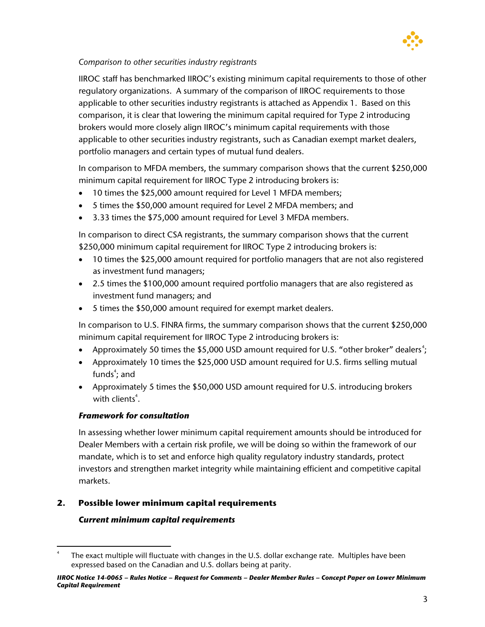

## *Comparison to other securities industry registrants*

IIROC staff has benchmarked IIROC's existing minimum capital requirements to those of other regulatory organizations. A summary of the comparison of IIROC requirements to those applicable to other securities industry registrants is attached as Appendix 1. Based on this comparison, it is clear that lowering the minimum capital required for Type 2 introducing brokers would more closely align IIROC's minimum capital requirements with those applicable to other securities industry registrants, such as Canadian exempt market dealers, portfolio managers and certain types of mutual fund dealers.

In comparison to MFDA members, the summary comparison shows that the current \$250,000 minimum capital requirement for IIROC Type 2 introducing brokers is:

- 10 times the \$25,000 amount required for Level 1 MFDA members;
- 5 times the \$50,000 amount required for Level 2 MFDA members; and
- 3.33 times the \$75,000 amount required for Level 3 MFDA members.

In comparison to direct CSA registrants, the summary comparison shows that the current \$250,000 minimum capital requirement for IIROC Type 2 introducing brokers is:

- 10 times the \$25,000 amount required for portfolio managers that are not also registered as investment fund managers;
- 2.5 times the \$100,000 amount required portfolio managers that are also registered as investment fund managers; and
- 5 times the \$50,000 amount required for exempt market dealers.

In comparison to U.S. FINRA firms, the summary comparison shows that the current \$250,000 minimum capital requirement for IIROC Type 2 introducing brokers is:

- Approximately 50 times the \$5,000 USD amount required for U.S. "other broker" dealers<sup>[4](#page-2-0)</sup>;
- Approximately 10 times the \$25,000 USD amount required for U.S. firms selling mutual funds $\degree$ ; and
- Approximately 5 times the \$50,000 USD amount required for U.S. introducing brokers with clients<sup>4</sup>.

## *Framework for consultation*

In assessing whether lower minimum capital requirement amounts should be introduced for Dealer Members with a certain risk profile, we will be doing so within the framework of our mandate, which is to set and enforce high quality regulatory industry standards, protect investors and strengthen market integrity while maintaining efficient and competitive capital markets.

## **2. Possible lower minimum capital requirements**

## *Current minimum capital requirements*

<span id="page-2-0"></span> $\overline{a}$ The exact multiple will fluctuate with changes in the U.S. dollar exchange rate. Multiples have been expressed based on the Canadian and U.S. dollars being at parity.

*IIROC Notice 14-0065 – Rules Notice – Request for Comments – Dealer Member Rules – Concept Paper on Lower Minimum Capital Requirement*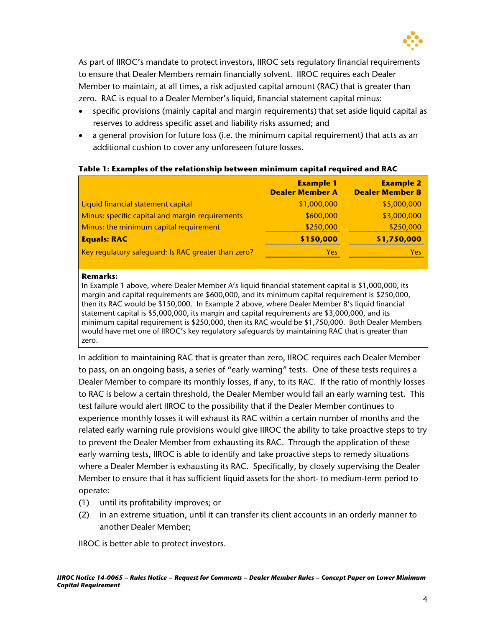

As part of IIROC's mandate to protect investors, IIROC sets regulatory financial requirements to ensure that Dealer Members remain financially solvent. IIROC requires each Dealer Member to maintain, at all times, a risk adjusted capital amount (RAC) that is greater than zero. RAC is equal to a Dealer Member's liquid, financial statement capital minus:

- specific provisions (mainly capital and margin requirements) that set aside liquid capital as reserves to address specific asset and liability risks assumed; and
- a general provision for future loss (i.e. the minimum capital requirement) that acts as an additional cushion to cover any unforeseen future losses.

#### **Table 1: Examples of the relationship between minimum capital required and RAC**

|                                                     | <b>Example 1</b><br><b>Dealer Member A</b> | <b>Example 2</b><br><b>Dealer Member B</b> |
|-----------------------------------------------------|--------------------------------------------|--------------------------------------------|
| Liquid financial statement capital                  | \$1,000,000                                | \$5,000,000                                |
| Minus: specific capital and margin requirements     | \$600,000                                  | \$3,000,000                                |
| Minus: the minimum capital requirement              | \$250,000                                  | \$250,000                                  |
| <b>Equals: RAC</b>                                  | \$150,000                                  | \$1,750,000                                |
| Key regulatory safeguard: Is RAC greater than zero? | <b>Yes</b>                                 | Yes                                        |

#### **Remarks:**

In Example 1 above, where Dealer Member A's liquid financial statement capital is \$1,000,000, its margin and capital requirements are \$600,000, and its minimum capital requirement is \$250,000, then its RAC would be \$150,000. In Example 2 above, where Dealer Member B's liquid financial statement capital is \$5,000,000, its margin and capital requirements are \$3,000,000, and its minimum capital requirement is \$250,000, then its RAC would be \$1,750,000. Both Dealer Members would have met one of IIROC's key regulatory safeguards by maintaining RAC that is greater than zero.

In addition to maintaining RAC that is greater than zero, IIROC requires each Dealer Member to pass, on an ongoing basis, a series of "early warning" tests. One of these tests requires a Dealer Member to compare its monthly losses, if any, to its RAC. If the ratio of monthly losses to RAC is below a certain threshold, the Dealer Member would fail an early warning test. This test failure would alert IIROC to the possibility that if the Dealer Member continues to experience monthly losses it will exhaust its RAC within a certain number of months and the related early warning rule provisions would give IIROC the ability to take proactive steps to try to prevent the Dealer Member from exhausting its RAC. Through the application of these early warning tests, IIROC is able to identify and take proactive steps to remedy situations where a Dealer Member is exhausting its RAC. Specifically, by closely supervising the Dealer Member to ensure that it has sufficient liquid assets for the short- to medium-term period to operate:

- (1) until its profitability improves; or
- (2) in an extreme situation, until it can transfer its client accounts in an orderly manner to another Dealer Member;

IIROC is better able to protect investors.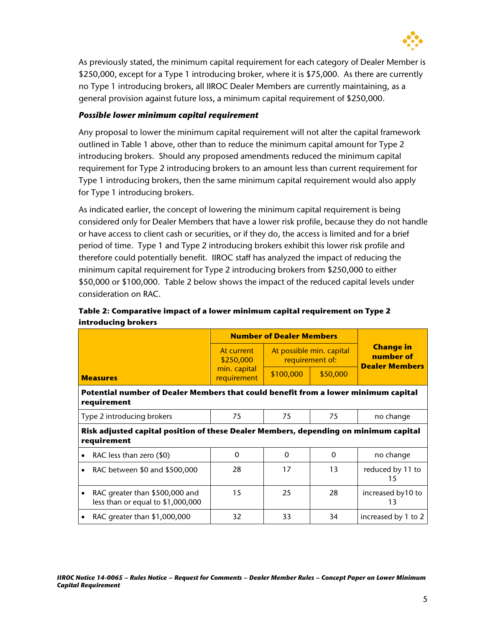

As previously stated, the minimum capital requirement for each category of Dealer Member is \$250,000, except for a Type 1 introducing broker, where it is \$75,000. As there are currently no Type 1 introducing brokers, all IIROC Dealer Members are currently maintaining, as a general provision against future loss, a minimum capital requirement of \$250,000.

## *Possible lower minimum capital requirement*

Any proposal to lower the minimum capital requirement will not alter the capital framework outlined in Table 1 above, other than to reduce the minimum capital amount for Type 2 introducing brokers. Should any proposed amendments reduced the minimum capital requirement for Type 2 introducing brokers to an amount less than current requirement for Type 1 introducing brokers, then the same minimum capital requirement would also apply for Type 1 introducing brokers.

As indicated earlier, the concept of lowering the minimum capital requirement is being considered only for Dealer Members that have a lower risk profile, because they do not handle or have access to client cash or securities, or if they do, the access is limited and for a brief period of time. Type 1 and Type 2 introducing brokers exhibit this lower risk profile and therefore could potentially benefit. IIROC staff has analyzed the impact of reducing the minimum capital requirement for Type 2 introducing brokers from \$250,000 to either \$50,000 or \$100,000. Table 2 below shows the impact of the reduced capital levels under consideration on RAC.

|                                                                                                     |                                                                     | <b>Number of Dealer Members</b> |                                             |          |                                                        |  |  |  |
|-----------------------------------------------------------------------------------------------------|---------------------------------------------------------------------|---------------------------------|---------------------------------------------|----------|--------------------------------------------------------|--|--|--|
|                                                                                                     |                                                                     | At current<br>\$250,000         | At possible min. capital<br>requirement of: |          | <b>Change in</b><br>number of<br><b>Dealer Members</b> |  |  |  |
| <b>Measures</b>                                                                                     |                                                                     | min. capital<br>requirement     | \$100,000                                   | \$50,000 |                                                        |  |  |  |
| Potential number of Dealer Members that could benefit from a lower minimum capital<br>requirement   |                                                                     |                                 |                                             |          |                                                        |  |  |  |
|                                                                                                     | Type 2 introducing brokers                                          | 75                              | 75                                          | 75       | no change                                              |  |  |  |
| Risk adjusted capital position of these Dealer Members, depending on minimum capital<br>requirement |                                                                     |                                 |                                             |          |                                                        |  |  |  |
|                                                                                                     | RAC less than zero (\$0)                                            | $\Omega$                        | $\Omega$                                    | $\Omega$ | no change                                              |  |  |  |
|                                                                                                     | RAC between \$0 and \$500,000                                       | 28                              | 17                                          | 13       | reduced by 11 to<br>15                                 |  |  |  |
|                                                                                                     | RAC greater than \$500,000 and<br>less than or equal to \$1,000,000 | 15                              | 25                                          | 28       | increased by10 to<br>13                                |  |  |  |
|                                                                                                     | RAC greater than \$1,000,000                                        | 32                              | 33                                          | 34       | increased by 1 to 2                                    |  |  |  |

## **Table 2: Comparative impact of a lower minimum capital requirement on Type 2 introducing brokers**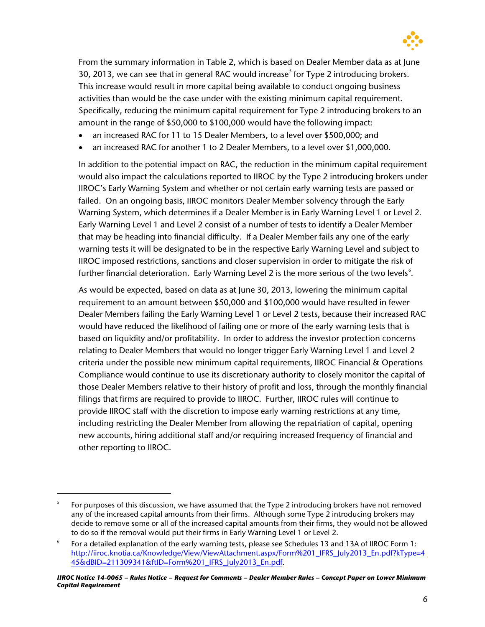

From the summary information in Table 2, which is based on Dealer Member data as at June 30, 2013, we can see that in general RAC would increase<sup>[5](#page-5-0)</sup> for Type 2 introducing brokers. This increase would result in more capital being available to conduct ongoing business activities than would be the case under with the existing minimum capital requirement. Specifically, reducing the minimum capital requirement for Type 2 introducing brokers to an amount in the range of \$50,000 to \$100,000 would have the following impact:

- an increased RAC for 11 to 15 Dealer Members, to a level over \$500,000; and
- an increased RAC for another 1 to 2 Dealer Members, to a level over \$1,000,000.

In addition to the potential impact on RAC, the reduction in the minimum capital requirement would also impact the calculations reported to IIROC by the Type 2 introducing brokers under IIROC's Early Warning System and whether or not certain early warning tests are passed or failed. On an ongoing basis, IIROC monitors Dealer Member solvency through the Early Warning System, which determines if a Dealer Member is in Early Warning Level 1 or Level 2. Early Warning Level 1 and Level 2 consist of a number of tests to identify a Dealer Member that may be heading into financial difficulty. If a Dealer Member fails any one of the early warning tests it will be designated to be in the respective Early Warning Level and subject to IIROC imposed restrictions, sanctions and closer supervision in order to mitigate the risk of further financial deterioration. Early Warning Level 2 is the more serious of the two levels $\mathfrak{S}$ .

As would be expected, based on data as at June 30, 2013, lowering the minimum capital requirement to an amount between \$50,000 and \$100,000 would have resulted in fewer Dealer Members failing the Early Warning Level 1 or Level 2 tests, because their increased RAC would have reduced the likelihood of failing one or more of the early warning tests that is based on liquidity and/or profitability. In order to address the investor protection concerns relating to Dealer Members that would no longer trigger Early Warning Level 1 and Level 2 criteria under the possible new minimum capital requirements, IIROC Financial & Operations Compliance would continue to use its discretionary authority to closely monitor the capital of those Dealer Members relative to their history of profit and loss, through the monthly financial filings that firms are required to provide to IIROC. Further, IIROC rules will continue to provide IIROC staff with the discretion to impose early warning restrictions at any time, including restricting the Dealer Member from allowing the repatriation of capital, opening new accounts, hiring additional staff and/or requiring increased frequency of financial and other reporting to IIROC.

 $\overline{a}$ 

*IIROC Notice 14-0065 – Rules Notice – Request for Comments – Dealer Member Rules – Concept Paper on Lower Minimum Capital Requirement*

<span id="page-5-0"></span><sup>5</sup> For purposes of this discussion, we have assumed that the Type 2 introducing brokers have not removed any of the increased capital amounts from their firms. Although some Type 2 introducing brokers may decide to remove some or all of the increased capital amounts from their firms, they would not be allowed to do so if the removal would put their firms in Early Warning Level 1 or Level 2.

<span id="page-5-1"></span><sup>6</sup> For a detailed explanation of the early warning tests, please see Schedules 13 and 13A of IIROC Form 1: [http://iiroc.knotia.ca/Knowledge/View/ViewAttachment.aspx/Form%201\\_IFRS\\_July2013\\_En.pdf?kType=4](http://iiroc.knotia.ca/Knowledge/View/ViewAttachment.aspx/Form%201_IFRS_July2013_En.pdf?kType=445&dBID=211309341&ftID=Form%201_IFRS_July2013_En.pdf) [45&dBID=211309341&ftID=Form%201\\_IFRS\\_July2013\\_En.pdf.](http://iiroc.knotia.ca/Knowledge/View/ViewAttachment.aspx/Form%201_IFRS_July2013_En.pdf?kType=445&dBID=211309341&ftID=Form%201_IFRS_July2013_En.pdf)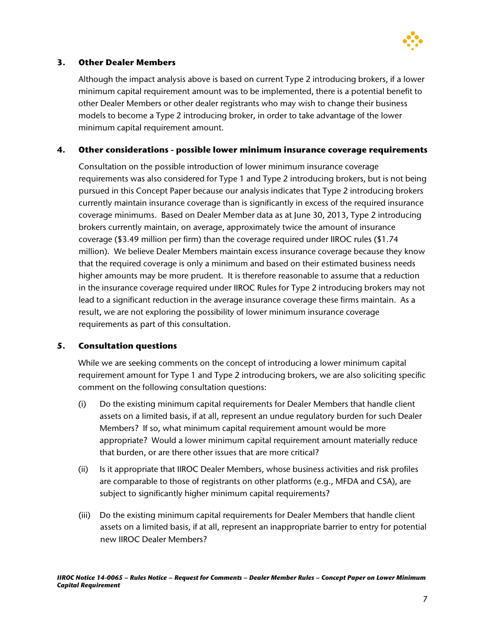

## **3. Other Dealer Members**

Although the impact analysis above is based on current Type 2 introducing brokers, if a lower minimum capital requirement amount was to be implemented, there is a potential benefit to other Dealer Members or other dealer registrants who may wish to change their business models to become a Type 2 introducing broker, in order to take advantage of the lower minimum capital requirement amount.

## **4. Other considerations - possible lower minimum insurance coverage requirements**

Consultation on the possible introduction of lower minimum insurance coverage requirements was also considered for Type 1 and Type 2 introducing brokers, but is not being pursued in this Concept Paper because our analysis indicates that Type 2 introducing brokers currently maintain insurance coverage than is significantly in excess of the required insurance coverage minimums. Based on Dealer Member data as at June 30, 2013, Type 2 introducing brokers currently maintain, on average, approximately twice the amount of insurance coverage (\$3.49 million per firm) than the coverage required under IIROC rules (\$1.74 million). We believe Dealer Members maintain excess insurance coverage because they know that the required coverage is only a minimum and based on their estimated business needs higher amounts may be more prudent. It is therefore reasonable to assume that a reduction in the insurance coverage required under IIROC Rules for Type 2 introducing brokers may not lead to a significant reduction in the average insurance coverage these firms maintain. As a result, we are not exploring the possibility of lower minimum insurance coverage requirements as part of this consultation.

## **5. Consultation questions**

While we are seeking comments on the concept of introducing a lower minimum capital requirement amount for Type 1 and Type 2 introducing brokers, we are also soliciting specific comment on the following consultation questions:

- (i) Do the existing minimum capital requirements for Dealer Members that handle client assets on a limited basis, if at all, represent an undue regulatory burden for such Dealer Members? If so, what minimum capital requirement amount would be more appropriate? Would a lower minimum capital requirement amount materially reduce that burden, or are there other issues that are more critical?
- (ii) Is it appropriate that IIROC Dealer Members, whose business activities and risk profiles are comparable to those of registrants on other platforms (e.g., MFDA and CSA), are subject to significantly higher minimum capital requirements?
- (iii) Do the existing minimum capital requirements for Dealer Members that handle client assets on a limited basis, if at all, represent an inappropriate barrier to entry for potential new IIROC Dealer Members?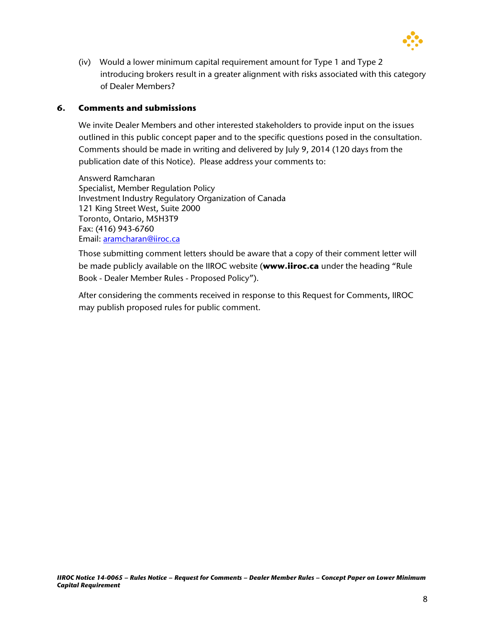

(iv) Would a lower minimum capital requirement amount for Type 1 and Type 2 introducing brokers result in a greater alignment with risks associated with this category of Dealer Members?

### **6. Comments and submissions**

We invite Dealer Members and other interested stakeholders to provide input on the issues outlined in this public concept paper and to the specific questions posed in the consultation. Comments should be made in writing and delivered by July 9, 2014 (120 days from the publication date of this Notice). Please address your comments to:

Answerd Ramcharan Specialist, Member Regulation Policy Investment Industry Regulatory Organization of Canada 121 King Street West, Suite 2000 Toronto, Ontario, M5H3T9 Fax: (416) 943-6760 Email: [aramcharan@iiroc.ca](mailto:aramcharan@iiroc.ca)

Those submitting comment letters should be aware that a copy of their comment letter will be made publicly available on the IIROC website (**www.iiroc.ca** under the heading "Rule Book - Dealer Member Rules - Proposed Policy").

After considering the comments received in response to this Request for Comments, IIROC may publish proposed rules for public comment.